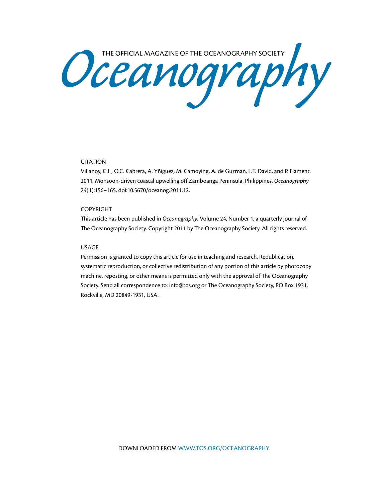Oceanography Society

## CITATION

Villanoy, C.L., O.C. Cabrera, A. Yñiguez, M. Camoying, A. de Guzman, L.T. David, and P. Flament. 2011. Monsoon-driven coastal upwelling off Zamboanga Peninsula, Philippines. *Oceanography* 24(1):156–165, doi:10.5670/oceanog.2011.12.

#### COPYRIGHT

This article has been published in *Oceanography*, Volume 24, Number 1, a quarterly journal of The Oceanography Society. Copyright 2011 by The Oceanography Society. All rights reserved.

#### USAGE

Permission is granted to copy this article for use in teaching and research. Republication, systematic reproduction, or collective redistribution of any portion of this article by photocopy machine, reposting, or other means is permitted only with the approval of The Oceanography Society. Send all correspondence to: info@tos.org or The Oceanography Society, PO Box 1931, Rockville, MD 20849-1931, USA.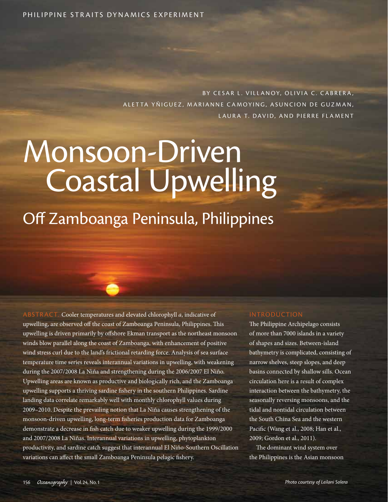BY CESAR L. VILLANOY, OLIVIA C. CABRERA, ALETTA YÑIGUEZ, MARIANNE CAMOYING, ASUNCION DE GUZMAN, LAURA T. DAVID, AND PIERRE FLAMENT

# Monsoon-Driven Coastal Upwelling

Off Zamboanga Peninsula, Philippines

Cooler temperatures and elevated chlorophyll *a*, indicative of upwelling, are observed off the coast of Zamboanga Peninsula, Philippines. This upwelling is driven primarily by offshore Ekman transport as the northeast monsoon winds blow parallel along the coast of Zamboanga, with enhancement of positive wind stress curl due to the land's frictional retarding force. Analysis of sea surface temperature time series reveals interannual variations in upwelling, with weakening during the 2007/2008 La Niña and strengthening during the 2006/2007 El Niño. Upwelling areas are known as productive and biologically rich, and the Zamboanga upwelling supports a thriving sardine fishery in the southern Philippines. Sardine landing data correlate remarkably well with monthly chlorophyll values during 2009–2010. Despite the prevailing notion that La Niña causes strengthening of the monsoon-driven upwelling, long-term fisheries production data for Zamboanga demonstrate a decrease in fish catch due to weaker upwelling during the 1999/2000 and 2007/2008 La Niñas. Interannual variations in upwelling, phytoplankton productivity, and sardine catch suggest that interannual El Niño-Southern Oscillation variations can affect the small Zamboanga Peninsula pelagic fishery.

## **INTRODUCTION**

The Philippine Archipelago consists of more than 7000 islands in a variety of shapes and sizes. Between-island bathymetry is complicated, consisting of narrow shelves, steep slopes, and deep basins connected by shallow sills. Ocean circulation here is a result of complex interaction between the bathymetry, the seasonally reversing monsoons, and the tidal and nontidal circulation between the South China Sea and the western Pacific (Wang et al., 2008; Han et al., 2009; Gordon et al., 2011).

The dominant wind system over the Philippines is the Asian monsoon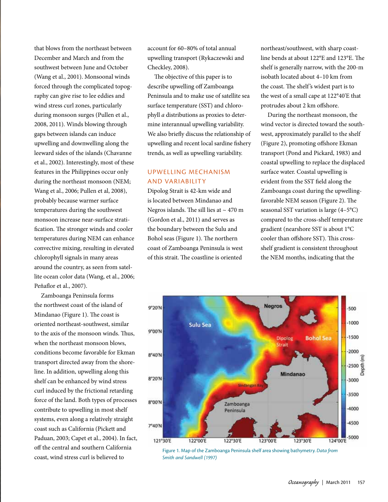that blows from the northeast between December and March and from the southwest between June and October (Wang et al., 2001). Monsoonal winds forced through the complicated topography can give rise to lee eddies and wind stress curl zones, particularly during monsoon surges (Pullen et al., 2008, 2011). Winds blowing through gaps between islands can induce upwelling and downwelling along the leeward sides of the islands (Chavanne et al., 2002). Interestingly, most of these features in the Philippines occur only during the northeast monsoon (NEM; Wang et al., 2006; Pullen et al, 2008), probably because warmer surface temperatures during the southwest monsoon increase near-surface stratification. The stronger winds and cooler temperatures during NEM can enhance convective mixing, resulting in elevated chlorophyll signals in many areas around the country, as seen from satellite ocean color data (Wang, et al., 2006; Peñaflor et al., 2007).

Zamboanga Peninsula forms the northwest coast of the island of Mindanao (Figure 1). The coast is oriented northeast-southwest, similar to the axis of the monsoon winds. Thus, when the northeast monsoon blows, conditions become favorable for Ekman transport directed away from the shoreline. In addition, upwelling along this shelf can be enhanced by wind stress curl induced by the frictional retarding force of the land. Both types of processes contribute to upwelling in most shelf systems, even along a relatively straight coast such as California (Pickett and Paduan, 2003; Capet et al., 2004). In fact, off the central and southern California coast, wind stress curl is believed to

account for 60–80% of total annual upwelling transport (Rykaczewski and Checkley, 2008).

The objective of this paper is to describe upwelling off Zamboanga Peninsula and to make use of satellite sea surface temperature (SST) and chlorophyll *a* distributions as proxies to determine interannual upwelling variability. We also briefly discuss the relationship of upwelling and recent local sardine fishery trends, as well as upwelling variability.

## Upwelling Mechanism and Variability

Dipolog Strait is 42-km wide and is located between Mindanao and Negros islands. The sill lies at  $\sim$  470 m (Gordon et al., 2011) and serves as the boundary between the Sulu and Bohol seas (Figure 1). The northern coast of Zamboanga Peninsula is west of this strait. The coastline is oriented

northeast/southwest, with sharp coastline bends at about 122°E and 123°E. The shelf is generally narrow, with the 200-m isobath located about 4–10 km from the coast. The shelf 's widest part is to the west of a small cape at 122°40'E that protrudes about 2 km offshore.

During the northeast monsoon, the wind vector is directed toward the southwest, approximately parallel to the shelf (Figure 2), promoting offshore Ekman transport (Pond and Pickard, 1983) and coastal upwelling to replace the displaced surface water. Coastal upwelling is evident from the SST field along the Zamboanga coast during the upwellingfavorable NEM season (Figure 2). The seasonal SST variation is large (4–5°C) compared to the cross-shelf temperature gradient (nearshore SST is about 1°C cooler than offshore SST). This crossshelf gradient is consistent throughout the NEM months, indicating that the



Figure 1. Map of the Zamboanga Peninsula shelf area showing bathymetry. *Data from Smith and Sandwell (1997)*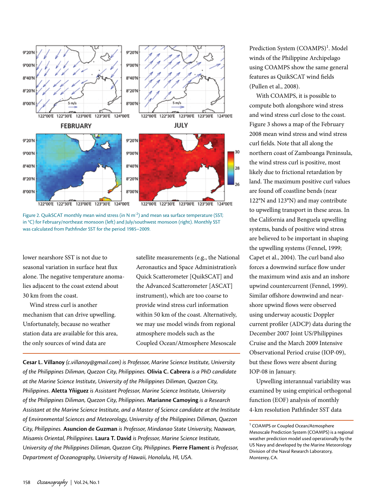

Figure 2. QuikSCAT monthly mean wind stress (in N  $m^{-2}$ ) and mean sea surface temperature (SST; in °C) for February/northeast monsoon (left) and July/southwest monsoon (right). Monthly SST was calculated from Pathfinder SST for the period 1985–2009.

lower nearshore SST is not due to seasonal variation in surface heat flux alone. The negative temperature anomalies adjacent to the coast extend about 30 km from the coast.

Wind stress curl is another mechanism that can drive upwelling. Unfortunately, because no weather station data are available for this area, the only sources of wind data are

satellite measurements (e.g., the National Aeronautics and Space Administration's Quick Scatterometer [QuikSCAT] and the Advanced Scatterometer [ASCAT] instrument), which are too coarse to provide wind stress curl information within 50 km of the coast. Alternatively, we may use model winds from regional atmosphere models such as the Coupled Ocean/Atmosphere Mesoscale

**Cesar L. Villanoy** *(c.villanoy@gmail.com) is Professor, Marine Science Institute, University of the Philippines Diliman, Quezon City, Philippines.* **Olivia C. Cabrera** *is a PhD candidate at the Marine Science Institute, University of the Philippines Diliman, Quezon City, Philippines.* **Aletta Yñiguez** *is Assistant Professor, Marine Science Institute, University of the Philippines Diliman, Quezon City, Philippines.* **Marianne Camoying** *is a Research Assistant at the Marine Science Institute, and a Master of Science candidate at the Institute of Environmental Sciences and Meteorology, University of the Philippines Diliman, Quezon City, Philippines.* **Asuncion de Guzman** *is Professor, Mindanao State University, Naawan, Misamis Oriental, Philippines.* **Laura T. David** *is Professor, Marine Science Institute, University of the Philippines Diliman, Quezon City, Philippines. Pierre Flament is Professor, Department of Oceanography, University of Hawaii, Honolulu, HI, USA.*

Prediction System (COAMPS)<sup>1</sup>. Model winds of the Philippine Archipelago using COAMPS show the same general features as QuikSCAT wind fields (Pullen et al., 2008).

With COAMPS, it is possible to compute both alongshore wind stress and wind stress curl close to the coast. Figure 3 shows a map of the February 2008 mean wind stress and wind stress curl fields. Note that all along the northern coast of Zamboanga Peninsula, the wind stress curl is positive, most likely due to frictional retardation by land. The maximum positive curl values are found off coastline bends (near 122°N and 123°N) and may contribute to upwelling transport in these areas. In the California and Benguela upwelling systems, bands of positive wind stress are believed to be important in shaping the upwelling systems (Fennel, 1999; Capet et al., 2004). The curl band also forces a downwind surface flow under the maximum wind axis and an inshore upwind countercurrent (Fennel, 1999). Similar offshore downwind and nearshore upwind flows were observed using underway acoustic Doppler current profiler (ADCP) data during the December 2007 Joint US/Philippines Cruise and the March 2009 Intensive Observational Period cruise (IOP-09), but these flows were absent during IOP-08 in January.

Upwelling interannual variability was examined by using empirical orthogonal function (EOF) analysis of monthly 4-km resolution Pathfinder SST data

<sup>&</sup>lt;sup>1</sup> COAMPS or Coupled Ocean/Atmosphere Mesoscale Prediction System (COAMPS) is a regional weather prediction model used operationally by the US Navy and developed by the Marine Meteorology Division of the Naval Research Laboratory, Monterey, CA.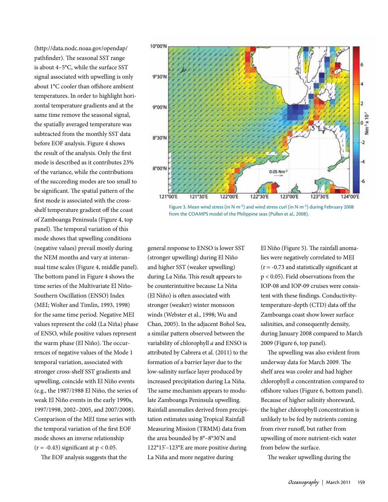(http://data.nodc.noaa.gov/opendap/ pathfinder). The seasonal SST range is about 4–5°C, while the surface SST signal associated with upwelling is only about 1°C cooler than offshore ambient temperatures. In order to highlight horizontal temperature gradients and at the same time remove the seasonal signal, the spatially averaged temperature was subtracted from the monthly SST data before EOF analysis. Figure 4 shows the result of the analysis. Only the first mode is described as it contributes 23% of the variance, while the contributions of the succeeding modes are too small to be significant. The spatial pattern of the first mode is associated with the crossshelf temperature gradient off the coast of Zamboanga Peninsula (Figure 4, top panel). The temporal variation of this mode shows that upwelling conditions (negative values) prevail mostly during the NEM months and vary at interannual time scales (Figure 4, middle panel). The bottom panel in Figure 4 shows the time series of the Multivariate El Niño-Southern Oscillation (ENSO) Index (MEI; Wolter and Timlin, 1993, 1998) for the same time period. Negative MEI values represent the cold (La Niña) phase of ENSO, while positive values represent the warm phase (El Niño). The occurrences of negative values of the Mode 1 temporal variation, associated with stronger cross-shelf SST gradients and upwelling, coincide with El Niño events (e.g., the 1987/1988 El Niño, the series of weak El Niño events in the early 1990s, 1997/1998, 2002–2005, and 2007/2008). Comparison of the MEI time series with the temporal variation of the first EOF mode shows an inverse relationship  $(r = -0.43)$  significant at  $p < 0.05$ .

The EOF analysis suggests that the



Figure 3. Mean wind stress (in N m<sup>-2</sup>) and wind stress curl (in N m<sup>-3</sup>) during February 2008 from the COAMPS model of the Philippine seas (Pullen et al., 2008).

general response to ENSO is lower SST (stronger upwelling) during El Niño and higher SST (weaker upwelling) during La Niña. This result appears to be counterintuitive because La Niña (El Niño) is often associated with stronger (weaker) winter monsoon winds (Webster et al., 1998; Wu and Chan, 2005). In the adjacent Bohol Sea, a similar pattern observed between the variability of chlorophyll *a* and ENSO is attributed by Cabrera et al. (2011) to the formation of a barrier layer due to the low-salinity surface layer produced by increased precipitation during La Niña. The same mechanism appears to modulate Zamboanga Peninsula upwelling. Rainfall anomalies derived from precipitation estimates using Tropical Rainfall Measuring Mission (TRMM) data from the area bounded by 8°–8°30'N and 122°15'–123°E are more positive during La Niña and more negative during

El Niño (Figure 5). The rainfall anomalies were negatively correlated to MEI  $(r = -0.73$  and statistically significant at p < 0.05). Field observations from the IOP-08 and IOP-09 cruises were consistent with these findings. Conductivitytemperature-depth (CTD) data off the Zamboanga coast show lower surface salinities, and consequently density, during January 2008 compared to March 2009 (Figure 6, top panel).

The upwelling was also evident from underway data for March 2009. The shelf area was cooler and had higher chlorophyll *a* concentration compared to offshore values (Figure 6, bottom panel). Because of higher salinity shoreward, the higher chlorophyll concentration is unlikely to be fed by nutrients coming from river runoff, but rather from upwelling of more nutrient-rich water from below the surface.

The weaker upwelling during the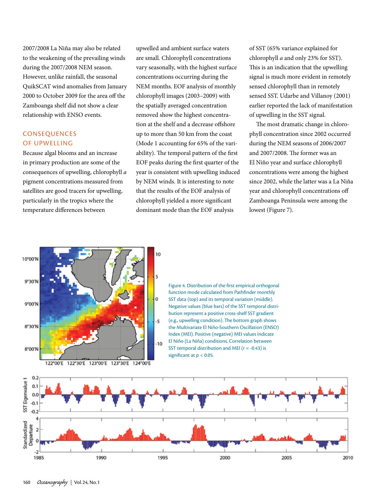2007/2008 La Niña may also be related to the weakening of the prevailing winds during the 2007/2008 NEM season. However, unlike rainfall, the seasonal QuikSCAT wind anomalies from January 2000 to October 2009 for the area off the Zamboanga shelf did not show a clear relationship with ENSO events.

## **CONSEQUENCES** of Upwelling

Because algal blooms and an increase in primary production are some of the consequences of upwelling, chlorophyll *a* pigment concentrations measured from satellites are good tracers for upwelling, particularly in the tropics where the temperature differences between

upwelled and ambient surface waters are small. Chlorophyll concentrations vary seasonally, with the highest surface concentrations occurring during the NEM months. EOF analysis of monthly chlorophyll images (2003–2009) with the spatially averaged concentration removed show the highest concentration at the shelf and a decrease offshore up to more than 50 km from the coast (Mode 1 accounting for 65% of the variability). The temporal pattern of the first EOF peaks during the first quarter of the year is consistent with upwelling induced by NEM winds. It is interesting to note that the results of the EOF analysis of chlorophyll yielded a more significant dominant mode than the EOF analysis

of SST (65% variance explained for chlorophyll *a* and only 23% for SST). This is an indication that the upwelling signal is much more evident in remotely sensed chlorophyll than in remotely sensed SST. Udarbe and Villanoy (2001) earlier reported the lack of manifestation of upwelling in the SST signal.

The most dramatic change in chlorophyll concentration since 2002 occurred during the NEM seasons of 2006/2007 and 2007/2008. The former was an El Niño year and surface chlorophyll concentrations were among the highest since 2002, while the latter was a La Niña year and chlorophyll concentrations off Zamboanga Peninsula were among the lowest (Figure 7).



Figure 4. Distribution of the first empirical orthogonal function mode calculated from Pathfinder monthly SST data (top) and its temporal variation (middle). Negative values (blue bars) of the SST temporal distribution represent a positive cross-shelf SST gradient (e.g., upwelling condition). The bottom graph shows the Multivariate El Niño-Southern Oscillation (ENSO) Index (MEI). Positive (negative) MEI values indicate El Niño (La Niña) conditions. Correlation between SST temporal distribution and MEI ( $r = -0.43$ ) is significant at  $p < 0.05$ .

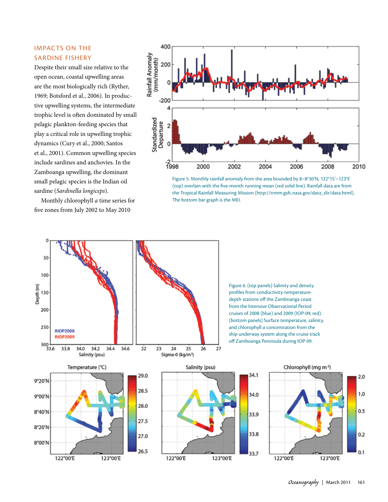## Impacts on the Sardine Fishery

Despite their small size relative to the open ocean, coastal upwelling areas are the most biologically rich (Ryther, 1969; Botsford et al., 2006). In productive upwelling systems, the intermediate trophic level is often dominated by small pelagic plankton-feeding species that play a critical role in upwelling trophic dynamics (Cury et al., 2000; Santos et al., 2001). Common upwelling species include sardines and anchovies. In the Zamboanga upwelling, the dominant small pelagic species is the Indian oil sardine (*Sardinella longiceps*).

Monthly chlorophyll *a* time series for five zones from July 2002 to May 2010



Figure 5. Monthly rainfall anomaly from the area bounded by 8–8°30'N, 122°15'–123°E (top) overlain with the five-month running mean (red solid line). Rainfall data are from the Tropical Rainfall Measuring Mission (http://trmm.gsfc.nasa.gov/data\_dir/data.html). The bottom bar graph is the MEI.



Figure 6. (top panels) Salinity and density profiles from conductivity-temperaturedepth stations off the Zamboanga coast from the Intensive Observational Period cruises of 2008 (blue) and 2009 (IOP-09; red). (bottom panels) Surface temperature, salinity, and chlorophyll *a* concentration from the ship underway system along the cruise track off Zamboanga Peninsula during IOP-09.

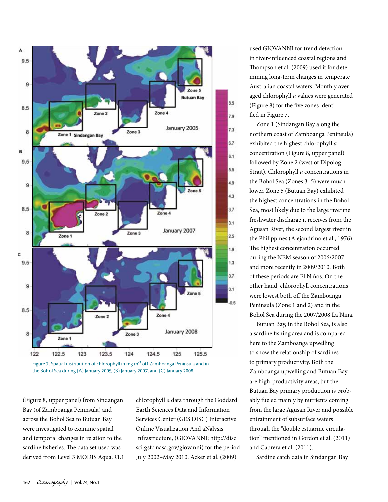



(Figure 8, upper panel) from Sindangan Bay (of Zamboanga Peninsula) and across the Bohol Sea to Butuan Bay were investigated to examine spatial and temporal changes in relation to the sardine fisheries. The data set used was derived from Level 3 MODIS Aqua.R1.1 chlorophyll *a* data through the Goddard Earth Sciences Data and Information Services Center (GES DISC) Interactive Online Visualization And aNalysis Infrastructure, (GIOVANNI; http://disc. sci.gsfc.nasa.gov/giovanni) for the period July 2002–May 2010. Acker et al. (2009)

used GIOVANNI for trend detection in river-influenced coastal regions and Thompson et al. (2009) used it for determining long-term changes in temperate Australian coastal waters. Monthly averaged chlorophyll *a* values were generated (Figure 8) for the five zones identified in Figure 7.

Zone 1 (Sindangan Bay along the northern coast of Zamboanga Peninsula) exhibited the highest chlorophyll *a* concentration (Figure 8, upper panel) followed by Zone 2 (west of Dipolog Strait). Chlorophyll *a* concentrations in the Bohol Sea (Zones 3–5) were much lower. Zone 5 (Butuan Bay) exhibited the highest concentrations in the Bohol Sea, most likely due to the large riverine freshwater discharge it receives from the Agusan River, the second largest river in the Philippines (Alejandrino et al., 1976). The highest concentration occurred during the NEM season of 2006/2007 and more recently in 2009/2010. Both of these periods are El Niños. On the other hand, chlorophyll concentrations were lowest both off the Zamboanga Peninsula (Zone 1 and 2) and in the Bohol Sea during the 2007/2008 La Niña.

Butuan Bay, in the Bohol Sea, is also a sardine fishing area and is compared here to the Zamboanga upwelling to show the relationship of sardines to primary productivity. Both the Zamboanga upwelling and Butuan Bay are high-productivity areas, but the Butuan Bay primary production is probably fueled mainly by nutrients coming from the large Agusan River and possible entrainment of subsurface waters through the "double estuarine circulation" mentioned in Gordon et al. (2011) and Cabrera et al. (2011).

Sardine catch data in Sindangan Bay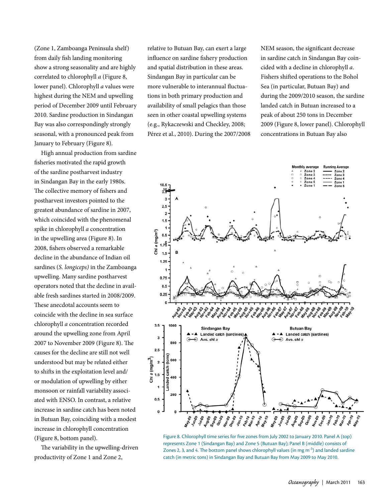(Zone 1, Zamboanga Peninsula shelf) from daily fish landing monitoring show a strong seasonality and are highly correlated to chlorophyll *a* (Figure 8, lower panel). Chlorophyll *a* values were highest during the NEM and upwelling period of December 2009 until February 2010. Sardine production in Sindangan Bay was also correspondingly strongly seasonal, with a pronounced peak from January to February (Figure 8).

High annual production from sardine fisheries motivated the rapid growth of the sardine postharvest industry in Sindangan Bay in the early 1980s. The collective memory of fishers and postharvest investors pointed to the greatest abundance of sardine in 2007, which coincided with the phenomenal spike in chlorophyll *a* concentration in the upwelling area (Figure 8). In 2008, fishers observed a remarkable decline in the abundance of Indian oil sardines (*S. longiceps)* in the Zamboanga upwelling. Many sardine postharvest operators noted that the decline in available fresh sardines started in 2008/2009. These anecdotal accounts seem to coincide with the decline in sea surface chlorophyll *a* concentration recorded around the upwelling zone from April 2007 to November 2009 (Figure 8). The causes for the decline are still not well understood but may be related either to shifts in the exploitation level and/ or modulation of upwelling by either monsoon or rainfall variability associated with ENSO. In contrast, a relative increase in sardine catch has been noted in Butuan Bay, coinciding with a modest increase in chlorophyll concentration (Figure 8, bottom panel).

The variability in the upwelling-driven productivity of Zone 1 and Zone 2,

relative to Butuan Bay, can exert a large influence on sardine fishery production and spatial distribution in these areas. Sindangan Bay in particular can be more vulnerable to interannual fluctuations in both primary production and availability of small pelagics than those seen in other coastal upwelling systems (e.g., Rykaczewski and Checkley, 2008; Pérez et al., 2010). During the 2007/2008 NEM season, the significant decrease in sardine catch in Sindangan Bay coincided with a decline in chlorophyll *a*. Fishers shifted operations to the Bohol Sea (in particular, Butuan Bay) and during the 2009/2010 season, the sardine landed catch in Butuan increased to a peak of about 250 tons in December 2009 (Figure 8, lower panel). Chlorophyll concentrations in Butuan Bay also



Figure 8. Chlorophyll time series for five zones from July 2002 to January 2010. Panel A (top) represents Zone 1 (Sindangan Bay) and Zone 5 (Butuan Bay); Panel B (middle) consists of Zones 2, 3, and 4. The bottom panel shows chlorophyll values (in mg  $m^{-3}$ ) and landed sardine catch (in metric tons) in Sindangan Bay and Butuan Bay from May 2009 to May 2010.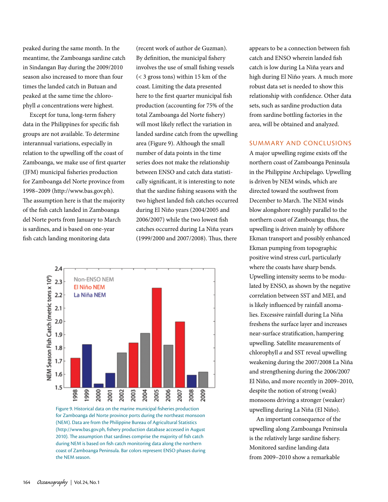peaked during the same month. In the meantime, the Zamboanga sardine catch in Sindangan Bay during the 2009/2010 season also increased to more than four times the landed catch in Butuan and peaked at the same time the chlorophyll *a* concentrations were highest.

Except for tuna, long-term fishery data in the Philippines for specific fish groups are not available. To determine interannual variations, especially in relation to the upwelling off the coast of Zamboanga, we make use of first quarter (JFM) municipal fisheries production for Zamboanga del Norte province from 1998–2009 (http://www.bas.gov.ph). The assumption here is that the majority of the fish catch landed in Zamboanga del Norte ports from January to March is sardines, and is based on one-year fish catch landing monitoring data

(recent work of author de Guzman). By definition, the municipal fishery involves the use of small fishing vessels (< 3 gross tons) within 15 km of the coast. Limiting the data presented here to the first quarter municipal fish production (accounting for 75% of the total Zamboanga del Norte fishery) will most likely reflect the variation in landed sardine catch from the upwelling area (Figure 9). Although the small number of data points in the time series does not make the relationship between ENSO and catch data statistically significant, it is interesting to note that the sardine fishing seasons with the two highest landed fish catches occurred during El Niño years (2004/2005 and 2006/2007) while the two lowest fish catches occurred during La Niña years (1999/2000 and 2007/2008). Thus, there



Figure 9. Historical data on the marine municipal fisheries production for Zamboanga del Norte province ports during the northeast monsoon (NEM). Data are from the Philippine Bureau of Agricultural Statistics (http://www.bas.gov.ph, fishery production database accessed in August 2010). The assumption that sardines comprise the majority of fish catch during NEM is based on fish catch monitoring data along the northern coast of Zamboanga Peninsula. Bar colors represent ENSO phases during the NEM season.

appears to be a connection between fish catch and ENSO wherein landed fish catch is low during La Niña years and high during El Niño years. A much more robust data set is needed to show this relationship with confidence. Other data sets, such as sardine production data from sardine bottling factories in the area, will be obtained and analyzed.

### Summary and Conclusions

A major upwelling regime exists off the northern coast of Zamboanga Peninsula in the Philippine Archipelago. Upwelling is driven by NEM winds, which are directed toward the southwest from December to March. The NEM winds blow alongshore roughly parallel to the northern coast of Zamboanga; thus, the upwelling is driven mainly by offshore Ekman transport and possibly enhanced Ekman pumping from topographic positive wind stress curl, particularly where the coasts have sharp bends. Upwelling intensity seems to be modulated by ENSO, as shown by the negative correlation between SST and MEI, and is likely influenced by rainfall anomalies. Excessive rainfall during La Niña freshens the surface layer and increases near-surface stratification, hampering upwelling. Satellite measurements of chlorophyll *a* and SST reveal upwelling weakening during the 2007/2008 La Niña and strengthening during the 2006/2007 El Niño, and more recently in 2009–2010, despite the notion of strong (weak) monsoons driving a stronger (weaker) upwelling during La Niña (El Niño).

An important consequence of the upwelling along Zamboanga Peninsula is the relatively large sardine fishery. Monitored sardine landing data from 2009–2010 show a remarkable